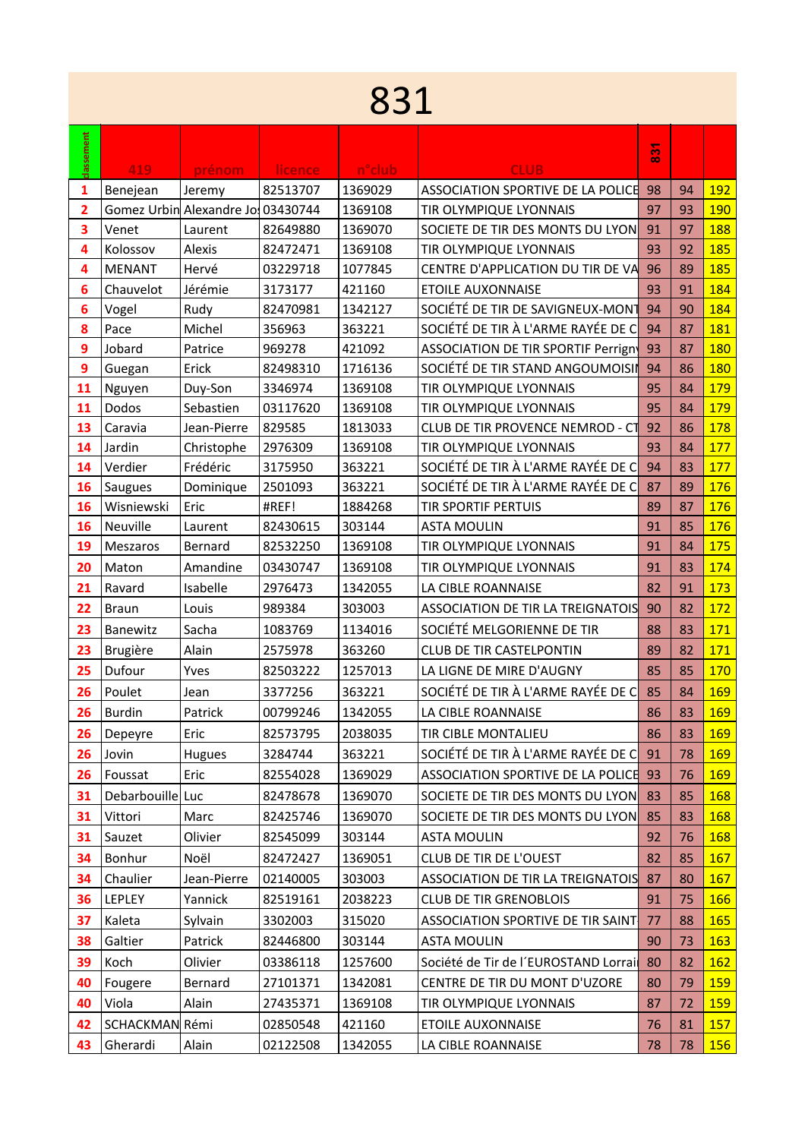## 

| classement     | 419            | prénom                            | <b>licence</b> | n°club  | <b>CLUB</b>                               | $\overline{3}$ |    |            |
|----------------|----------------|-----------------------------------|----------------|---------|-------------------------------------------|----------------|----|------------|
| 1              | Benejean       | Jeremy                            | 82513707       | 1369029 | ASSOCIATION SPORTIVE DE LA POLICE         | 98             | 94 | <b>192</b> |
| $\overline{2}$ |                | Gomez Urbin Alexandre Jo 03430744 |                | 1369108 | TIR OLYMPIQUE LYONNAIS                    | 97             | 93 | <b>190</b> |
| 3              | Venet          | Laurent                           | 82649880       | 1369070 | SOCIETE DE TIR DES MONTS DU LYON          | 91             | 97 | 188        |
| 4              | Kolossov       | Alexis                            | 82472471       | 1369108 | TIR OLYMPIQUE LYONNAIS                    | 93             | 92 | 185        |
| 4              | <b>MENANT</b>  | Hervé                             | 03229718       | 1077845 | CENTRE D'APPLICATION DU TIR DE VA         | 96             | 89 | 185        |
| 6              | Chauvelot      | Jérémie                           | 3173177        | 421160  | <b>ETOILE AUXONNAISE</b>                  | 93             | 91 | 184        |
| 6              | Vogel          | Rudy                              | 82470981       | 1342127 | SOCIÉTÉ DE TIR DE SAVIGNEUX-MONT          | 94             | 90 | 184        |
| 8              | Pace           | Michel                            | 356963         | 363221  | SOCIÉTÉ DE TIR À L'ARME RAYÉE DE C        | 94             | 87 | 181        |
| 9              | Jobard         | Patrice                           | 969278         | 421092  | <b>ASSOCIATION DE TIR SPORTIF Perrign</b> | 93             | 87 | 180        |
| 9              | Guegan         | Erick                             | 82498310       | 1716136 | SOCIÉTÉ DE TIR STAND ANGOUMOISIN          | 94             | 86 | 180        |
| 11             | Nguyen         | Duy-Son                           | 3346974        | 1369108 | TIR OLYMPIQUE LYONNAIS                    | 95             | 84 | 179        |
| 11             | Dodos          | Sebastien                         | 03117620       | 1369108 | TIR OLYMPIQUE LYONNAIS                    | 95             | 84 | <b>179</b> |
| 13             | Caravia        | Jean-Pierre                       | 829585         | 1813033 | CLUB DE TIR PROVENCE NEMROD - CT          | 92             | 86 | <b>178</b> |
| 14             | Jardin         | Christophe                        | 2976309        | 1369108 | TIR OLYMPIQUE LYONNAIS                    | 93             | 84 | 177        |
| 14             | Verdier        | Frédéric                          | 3175950        | 363221  | SOCIÉTÉ DE TIR À L'ARME RAYÉE DE C        | 94             | 83 | 177        |
| 16             | Saugues        | Dominique                         | 2501093        | 363221  | SOCIÉTÉ DE TIR À L'ARME RAYÉE DE C        | 87             | 89 | 176        |
| 16             | Wisniewski     | Eric                              | #REF!          | 1884268 | <b>TIR SPORTIF PERTUIS</b>                | 89             | 87 | 176        |
| 16             | Neuville       | Laurent                           | 82430615       | 303144  | <b>ASTA MOULIN</b>                        | 91             | 85 | 176        |
| 19             | Meszaros       | Bernard                           | 82532250       | 1369108 | TIR OLYMPIQUE LYONNAIS                    | 91             | 84 | 175        |
| 20             | Maton          | Amandine                          | 03430747       | 1369108 | TIR OLYMPIQUE LYONNAIS                    | 91             | 83 | 174        |
| 21             | Ravard         | Isabelle                          | 2976473        | 1342055 | LA CIBLE ROANNAISE                        | 82             | 91 | 173        |
| 22             | <b>Braun</b>   | Louis                             | 989384         | 303003  | ASSOCIATION DE TIR LA TREIGNATOIS         | 90             | 82 | 172        |
| 23             | Banewitz       | Sacha                             | 1083769        | 1134016 | SOCIÉTÉ MELGORIENNE DE TIR                | 88             | 83 | 171        |
| 23             | Brugière       | Alain                             | 2575978        | 363260  | <b>CLUB DE TIR CASTELPONTIN</b>           | 89             | 82 | 171        |
| 25             | Dufour         | Yves                              | 82503222       | 1257013 | LA LIGNE DE MIRE D'AUGNY                  | 85             | 85 | 170        |
| 26             | Poulet         | Jean                              | 3377256        | 363221  | SOCIÉTÉ DE TIR À L'ARME RAYÉE DE C        | 85             | 84 | 169        |
| 26             | <b>Burdin</b>  | Patrick                           | 00799246       | 1342055 | LA CIBLE ROANNAISE                        | 86             | 83 | 169        |
| 26             | Depeyre        | Eric                              | 82573795       | 2038035 | TIR CIBLE MONTALIEU                       | 86             | 83 | 169        |
| 26             | Jovin          | Hugues                            | 3284744        | 363221  | SOCIÉTÉ DE TIR À L'ARME RAYÉE DE C        | 91             | 78 | <b>169</b> |
| 26             | Foussat        | Eric                              | 82554028       | 1369029 | ASSOCIATION SPORTIVE DE LA POLICE 93      |                | 76 | <b>169</b> |
| 31             | Debarbouille   | Luc                               | 82478678       | 1369070 | SOCIETE DE TIR DES MONTS DU LYON          | 83             | 85 | <b>168</b> |
| 31             | Vittori        | Marc                              | 82425746       | 1369070 | SOCIETE DE TIR DES MONTS DU LYON          | 85             | 83 | <b>168</b> |
| 31             | Sauzet         | Olivier                           | 82545099       | 303144  | <b>ASTA MOULIN</b>                        | 92             | 76 | <b>168</b> |
| 34             | Bonhur         | Noël                              | 82472427       | 1369051 | CLUB DE TIR DE L'OUEST                    | 82             | 85 | <b>167</b> |
| 34             | Chaulier       | Jean-Pierre                       | 02140005       | 303003  | ASSOCIATION DE TIR LA TREIGNATOIS         | 87             | 80 | 167        |
| 36             | LEPLEY         | Yannick                           | 82519161       | 2038223 | <b>CLUB DE TIR GRENOBLOIS</b>             | 91             | 75 | <b>166</b> |
| 37             | Kaleta         | Sylvain                           | 3302003        | 315020  | ASSOCIATION SPORTIVE DE TIR SAINT         | 77             | 88 | <b>165</b> |
| 38             | Galtier        | Patrick                           | 82446800       | 303144  | <b>ASTA MOULIN</b>                        | 90             | 73 | <b>163</b> |
| 39             | Koch           | Olivier                           | 03386118       | 1257600 | Société de Tir de l'EUROSTAND Lorrai      | 80             | 82 | 162        |
| 40             | Fougere        | Bernard                           | 27101371       | 1342081 | CENTRE DE TIR DU MONT D'UZORE             | 80             | 79 | <b>159</b> |
| 40             | Viola          | Alain                             | 27435371       | 1369108 | TIR OLYMPIQUE LYONNAIS                    | 87             | 72 | <b>159</b> |
| 42             | SCHACKMAN Rémi |                                   | 02850548       | 421160  | <b>ETOILE AUXONNAISE</b>                  | 76             | 81 | 157        |
| 43             | Gherardi       | Alain                             | 02122508       | 1342055 | LA CIBLE ROANNAISE                        | 78             | 78 | 156        |
|                |                |                                   |                |         |                                           |                |    |            |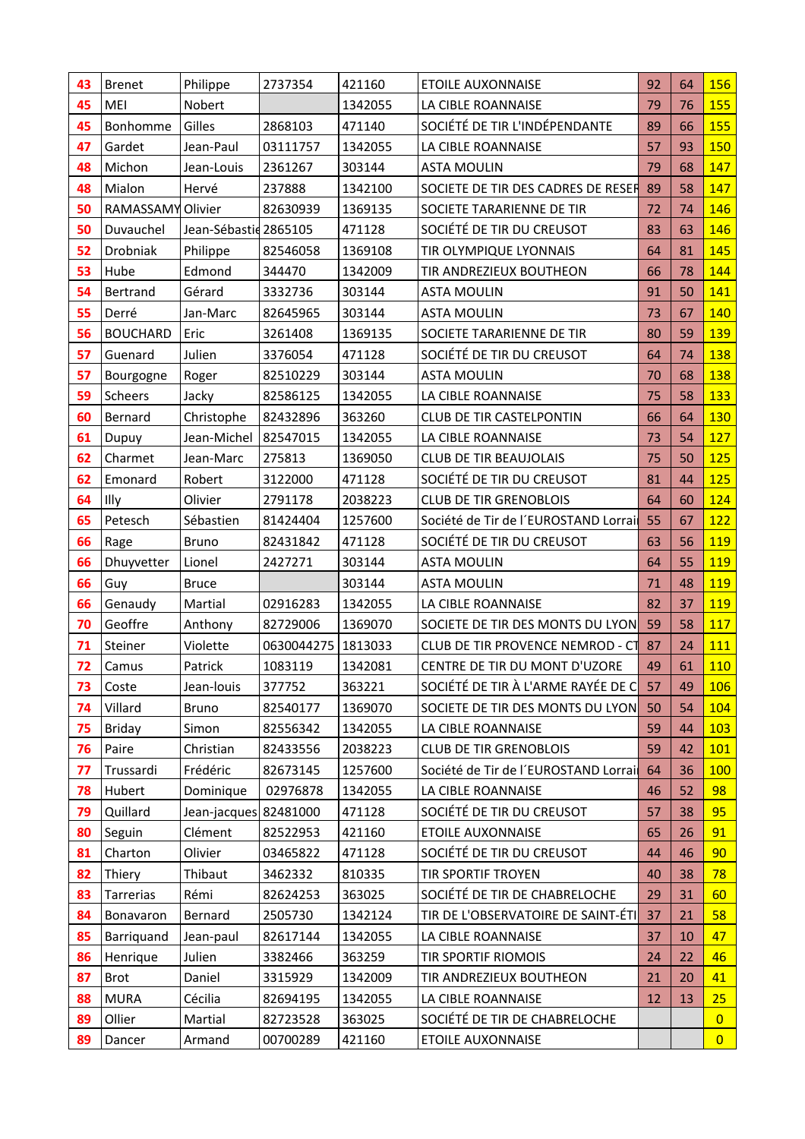| 43 | <b>Brenet</b>     | Philippe              | 2737354              | 421160  | <b>ETOILE AUXONNAISE</b>             | 92 | 64 | 156            |  |
|----|-------------------|-----------------------|----------------------|---------|--------------------------------------|----|----|----------------|--|
| 45 | MEI               | Nobert                |                      | 1342055 | LA CIBLE ROANNAISE                   | 79 | 76 | 155            |  |
| 45 | Bonhomme          | Gilles                | 2868103              | 471140  | SOCIÉTÉ DE TIR L'INDÉPENDANTE        | 89 | 66 | 155            |  |
| 47 | Gardet            | Jean-Paul             | 03111757             | 1342055 | LA CIBLE ROANNAISE                   | 57 | 93 | 150            |  |
| 48 | Michon            | Jean-Louis            | 2361267              | 303144  | <b>ASTA MOULIN</b>                   | 79 | 68 | 147            |  |
| 48 | Mialon            | Hervé                 | 237888               | 1342100 | SOCIETE DE TIR DES CADRES DE RESER   | 89 | 58 | 147            |  |
| 50 | RAMASSAMY Olivier |                       | 82630939             | 1369135 | SOCIETE TARARIENNE DE TIR            | 72 | 74 | 146            |  |
| 50 | Duvauchel         | Jean-Sébastid 2865105 |                      | 471128  | SOCIÉTÉ DE TIR DU CREUSOT            | 83 | 63 | 146            |  |
| 52 | Drobniak          | Philippe              | 82546058             | 1369108 | TIR OLYMPIQUE LYONNAIS               | 64 | 81 | 145            |  |
| 53 | Hube              | Edmond                | 344470               | 1342009 | TIR ANDREZIEUX BOUTHEON              | 66 | 78 | 144            |  |
| 54 | Bertrand          | Gérard                | 3332736              | 303144  | <b>ASTA MOULIN</b>                   | 91 | 50 | 141            |  |
| 55 | Derré             | Jan-Marc              | 82645965             | 303144  | <b>ASTA MOULIN</b>                   | 73 | 67 | 140            |  |
| 56 | <b>BOUCHARD</b>   | Eric                  | 3261408              | 1369135 | SOCIETE TARARIENNE DE TIR            | 80 | 59 | <b>139</b>     |  |
| 57 | Guenard           | Julien                | 3376054              | 471128  | SOCIÉTÉ DE TIR DU CREUSOT            | 64 | 74 | 138            |  |
| 57 | Bourgogne         | Roger                 | 82510229             | 303144  | <b>ASTA MOULIN</b>                   | 70 | 68 | <b>138</b>     |  |
| 59 | Scheers           | Jacky                 | 82586125             | 1342055 | LA CIBLE ROANNAISE                   | 75 | 58 | 133            |  |
| 60 | Bernard           | Christophe            | 82432896             | 363260  | <b>CLUB DE TIR CASTELPONTIN</b>      | 66 | 64 | 130            |  |
| 61 | Dupuy             | Jean-Michel           | 82547015             | 1342055 | LA CIBLE ROANNAISE                   | 73 | 54 | 127            |  |
| 62 | Charmet           | Jean-Marc             | 275813               | 1369050 | <b>CLUB DE TIR BEAUJOLAIS</b>        | 75 | 50 | 125            |  |
| 62 | Emonard           | Robert                | 3122000              | 471128  | SOCIÉTÉ DE TIR DU CREUSOT            | 81 | 44 | 125            |  |
| 64 | Illy              | Olivier               | 2791178              | 2038223 | <b>CLUB DE TIR GRENOBLOIS</b>        | 64 | 60 | 124            |  |
| 65 | Petesch           | Sébastien             | 81424404             | 1257600 | Société de Tir de l'EUROSTAND Lorrai | 55 | 67 | 122            |  |
| 66 | Rage              | <b>Bruno</b>          | 82431842             | 471128  | SOCIÉTÉ DE TIR DU CREUSOT            | 63 | 56 | 119            |  |
| 66 | Dhuyvetter        | Lionel                | 2427271              | 303144  | <b>ASTA MOULIN</b>                   | 64 | 55 | 119            |  |
| 66 | Guy               | <b>Bruce</b>          |                      | 303144  | <b>ASTA MOULIN</b>                   | 71 | 48 | 119            |  |
| 66 | Genaudy           | Martial               | 02916283             | 1342055 | LA CIBLE ROANNAISE                   | 82 | 37 | 119            |  |
| 70 | Geoffre           | Anthony               | 82729006             | 1369070 | SOCIETE DE TIR DES MONTS DU LYON     | 59 | 58 | 117            |  |
| 71 | Steiner           | Violette              | 0630044275   1813033 |         | CLUB DE TIR PROVENCE NEMROD - CT     | 87 | 24 | 111            |  |
| 72 | Camus             | Patrick               | 1083119              | 1342081 | CENTRE DE TIR DU MONT D'UZORE        | 49 | 61 | 110            |  |
| 73 | Coste             | Jean-louis            | 377752               | 363221  | SOCIÉTÉ DE TIR À L'ARME RAYÉE DE C   | 57 | 49 | <b>106</b>     |  |
| 74 | Villard           | <b>Bruno</b>          | 82540177             | 1369070 | SOCIETE DE TIR DES MONTS DU LYON     | 50 | 54 | 104            |  |
| 75 | <b>Briday</b>     | Simon                 | 82556342             | 1342055 | LA CIBLE ROANNAISE                   | 59 | 44 | 103            |  |
| 76 | Paire             | Christian             | 82433556             | 2038223 | <b>CLUB DE TIR GRENOBLOIS</b>        | 59 | 42 | <b>101</b>     |  |
| 77 | Trussardi         | Frédéric              | 82673145             | 1257600 | Société de Tir de l'EUROSTAND Lorrai | 64 | 36 | <b>100</b>     |  |
| 78 | Hubert            | Dominique             | 02976878             | 1342055 | LA CIBLE ROANNAISE                   | 46 | 52 | 98             |  |
| 79 | Quillard          | Jean-jacques 82481000 |                      | 471128  | SOCIÉTÉ DE TIR DU CREUSOT            | 57 | 38 | 95             |  |
| 80 | Seguin            | Clément               | 82522953             | 421160  | <b>ETOILE AUXONNAISE</b>             | 65 | 26 | 91             |  |
| 81 | Charton           | Olivier               | 03465822             | 471128  | SOCIÉTÉ DE TIR DU CREUSOT            | 44 | 46 | 90             |  |
| 82 | Thiery            | Thibaut               | 3462332              | 810335  | <b>TIR SPORTIF TROYEN</b>            | 40 | 38 | 78             |  |
| 83 | Tarrerias         | Rémi                  | 82624253             | 363025  | SOCIÉTÉ DE TIR DE CHABRELOCHE        | 29 | 31 | 60             |  |
| 84 | Bonavaron         | Bernard               | 2505730              | 1342124 | TIR DE L'OBSERVATOIRE DE SAINT-ÉTI   | 37 | 21 | 58             |  |
| 85 | Barriquand        | Jean-paul             | 82617144             | 1342055 | LA CIBLE ROANNAISE                   | 37 | 10 | 47             |  |
| 86 | Henrique          | Julien                | 3382466              | 363259  | TIR SPORTIF RIOMOIS                  | 24 | 22 | 46             |  |
| 87 | <b>Brot</b>       | Daniel                | 3315929              | 1342009 | TIR ANDREZIEUX BOUTHEON              | 21 | 20 | 41             |  |
| 88 | <b>MURA</b>       | Cécilia               | 82694195             | 1342055 | LA CIBLE ROANNAISE                   | 12 | 13 | 25             |  |
| 89 | Ollier            | Martial               | 82723528             | 363025  | SOCIÉTÉ DE TIR DE CHABRELOCHE        |    |    | $\overline{0}$ |  |
| 89 | Dancer            | Armand                | 00700289             | 421160  | <b>ETOILE AUXONNAISE</b>             |    |    | $\overline{0}$ |  |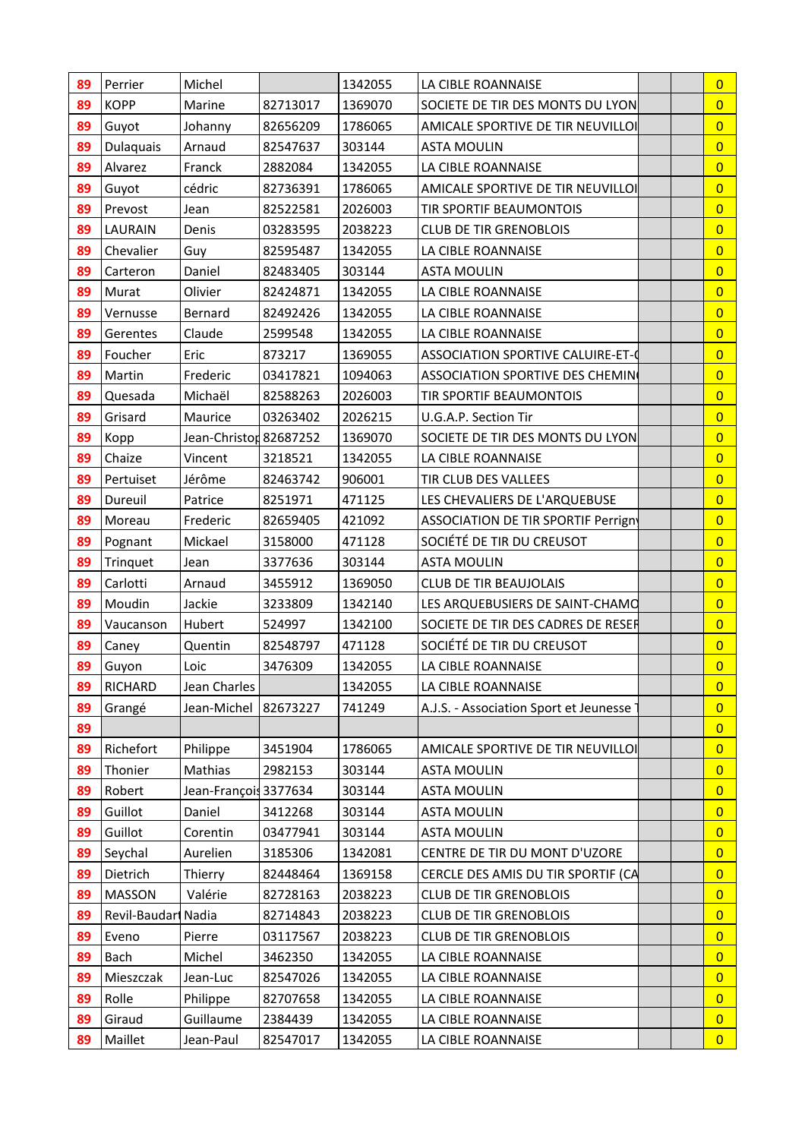| 89 | Perrier             | Michel                 |          | 1342055 | LA CIBLE ROANNAISE                       | $\overline{0}$ |
|----|---------------------|------------------------|----------|---------|------------------------------------------|----------------|
| 89 | <b>KOPP</b>         | Marine                 | 82713017 | 1369070 | SOCIETE DE TIR DES MONTS DU LYON         | $\overline{0}$ |
| 89 | Guyot               | Johanny                | 82656209 | 1786065 | AMICALE SPORTIVE DE TIR NEUVILLOI        | $\overline{0}$ |
| 89 | Dulaquais           | Arnaud                 | 82547637 | 303144  | <b>ASTA MOULIN</b>                       | $\overline{0}$ |
| 89 | Alvarez             | Franck                 | 2882084  | 1342055 | LA CIBLE ROANNAISE                       | $\overline{0}$ |
| 89 | Guyot               | cédric                 | 82736391 | 1786065 | AMICALE SPORTIVE DE TIR NEUVILLOI        | $\overline{0}$ |
| 89 | Prevost             | Jean                   | 82522581 | 2026003 | TIR SPORTIF BEAUMONTOIS                  | $\overline{0}$ |
| 89 | LAURAIN             | Denis                  | 03283595 | 2038223 | <b>CLUB DE TIR GRENOBLOIS</b>            | $\overline{0}$ |
| 89 | Chevalier           | Guy                    | 82595487 | 1342055 | LA CIBLE ROANNAISE                       | $\overline{0}$ |
| 89 | Carteron            | Daniel                 | 82483405 | 303144  | <b>ASTA MOULIN</b>                       | $\overline{0}$ |
| 89 | Murat               | Olivier                | 82424871 | 1342055 | LA CIBLE ROANNAISE                       | $\overline{0}$ |
| 89 | Vernusse            | Bernard                | 82492426 | 1342055 | LA CIBLE ROANNAISE                       | $\overline{0}$ |
| 89 | Gerentes            | Claude                 | 2599548  | 1342055 | LA CIBLE ROANNAISE                       | $\overline{0}$ |
| 89 | Foucher             | Eric                   | 873217   | 1369055 | <b>ASSOCIATION SPORTIVE CALUIRE-ET-0</b> | $\overline{0}$ |
| 89 | Martin              | Frederic               | 03417821 | 1094063 | ASSOCIATION SPORTIVE DES CHEMIN          | $\overline{0}$ |
| 89 | Quesada             | Michaël                | 82588263 | 2026003 | TIR SPORTIF BEAUMONTOIS                  | $\overline{0}$ |
| 89 | Grisard             | Maurice                | 03263402 | 2026215 | U.G.A.P. Section Tir                     | $\overline{0}$ |
| 89 | Kopp                | Jean-Christon 82687252 |          | 1369070 | SOCIETE DE TIR DES MONTS DU LYON         | $\overline{0}$ |
| 89 | Chaize              | Vincent                | 3218521  | 1342055 | LA CIBLE ROANNAISE                       | $\overline{0}$ |
| 89 | Pertuiset           | Jérôme                 | 82463742 | 906001  | TIR CLUB DES VALLEES                     | $\overline{0}$ |
| 89 | Dureuil             | Patrice                | 8251971  | 471125  | LES CHEVALIERS DE L'ARQUEBUSE            | $\overline{0}$ |
| 89 | Moreau              | Frederic               | 82659405 | 421092  | ASSOCIATION DE TIR SPORTIF Perrign       | $\overline{0}$ |
| 89 | Pognant             | Mickael                | 3158000  | 471128  | SOCIÉTÉ DE TIR DU CREUSOT                | $\overline{0}$ |
| 89 | Trinquet            | Jean                   | 3377636  | 303144  | <b>ASTA MOULIN</b>                       | $\overline{0}$ |
| 89 | Carlotti            | Arnaud                 | 3455912  | 1369050 | <b>CLUB DE TIR BEAUJOLAIS</b>            | $\overline{0}$ |
| 89 | Moudin              | Jackie                 | 3233809  | 1342140 | LES ARQUEBUSIERS DE SAINT-CHAMO          | $\overline{0}$ |
| 89 | Vaucanson           | Hubert                 | 524997   | 1342100 | SOCIETE DE TIR DES CADRES DE RESER       | $\overline{0}$ |
| 89 | Caney               | Quentin                | 82548797 | 471128  | SOCIÉTÉ DE TIR DU CREUSOT                | $\overline{0}$ |
| 89 | Guyon               | Loic                   | 3476309  | 1342055 | LA CIBLE ROANNAISE                       | $\overline{0}$ |
| 89 | RICHARD             | Jean Charles           |          | 1342055 | LA CIBLE ROANNAISE                       | $\overline{0}$ |
| 89 | Grangé              | Jean-Michel            | 82673227 | 741249  | A.J.S. - Association Sport et Jeunesse   | $\overline{0}$ |
| 89 |                     |                        |          |         |                                          | $\overline{0}$ |
| 89 | Richefort           | Philippe               | 3451904  | 1786065 | AMICALE SPORTIVE DE TIR NEUVILLOI        | $\overline{0}$ |
| 89 | Thonier             | Mathias                | 2982153  | 303144  | <b>ASTA MOULIN</b>                       | $\overline{0}$ |
| 89 | Robert              | Jean-François 3377634  |          | 303144  | <b>ASTA MOULIN</b>                       | $\overline{0}$ |
| 89 | Guillot             | Daniel                 | 3412268  | 303144  | <b>ASTA MOULIN</b>                       | $\overline{0}$ |
| 89 | Guillot             | Corentin               | 03477941 | 303144  | <b>ASTA MOULIN</b>                       | $\overline{0}$ |
| 89 | Seychal             | Aurelien               | 3185306  | 1342081 | CENTRE DE TIR DU MONT D'UZORE            | $\overline{0}$ |
| 89 | Dietrich            | Thierry                | 82448464 | 1369158 | CERCLE DES AMIS DU TIR SPORTIF (CA       | $\overline{0}$ |
| 89 | <b>MASSON</b>       | Valérie                | 82728163 | 2038223 | <b>CLUB DE TIR GRENOBLOIS</b>            | $\overline{0}$ |
| 89 | Revil-Baudari Nadia |                        | 82714843 | 2038223 | <b>CLUB DE TIR GRENOBLOIS</b>            | $\overline{0}$ |
| 89 | Eveno               | Pierre                 | 03117567 | 2038223 | <b>CLUB DE TIR GRENOBLOIS</b>            | $\overline{0}$ |
| 89 | Bach                | Michel                 | 3462350  | 1342055 | LA CIBLE ROANNAISE                       | $\overline{0}$ |
| 89 | Mieszczak           | Jean-Luc               | 82547026 | 1342055 | LA CIBLE ROANNAISE                       | $\overline{0}$ |
| 89 | Rolle               | Philippe               | 82707658 | 1342055 | LA CIBLE ROANNAISE                       | $\overline{0}$ |
|    |                     |                        |          |         |                                          |                |
| 89 | Giraud              | Guillaume              | 2384439  | 1342055 | LA CIBLE ROANNAISE                       | $\overline{0}$ |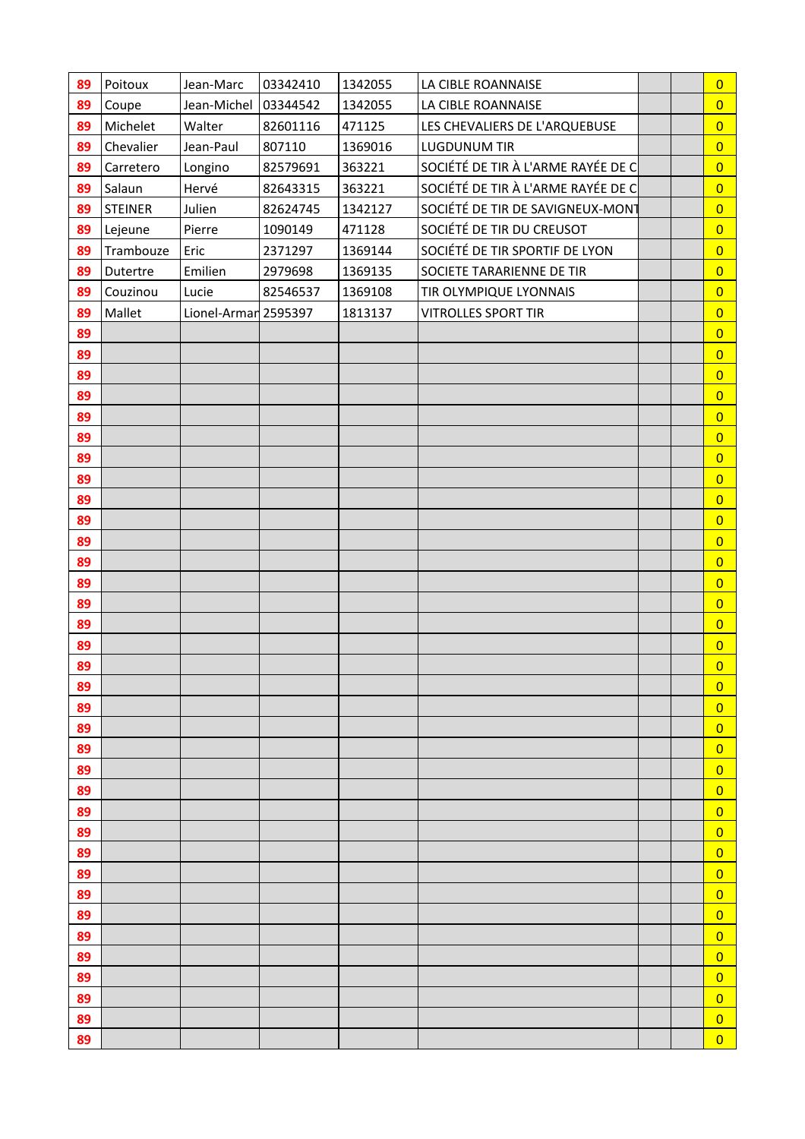| 89 | Poitoux   | Jean-Marc            | 03342410 | 1342055 | LA CIBLE ROANNAISE                 | $\overline{0}$ |  |
|----|-----------|----------------------|----------|---------|------------------------------------|----------------|--|
| 89 | Coupe     | Jean-Michel          | 03344542 | 1342055 | LA CIBLE ROANNAISE                 | $\overline{0}$ |  |
| 89 | Michelet  | Walter               | 82601116 | 471125  | LES CHEVALIERS DE L'ARQUEBUSE      | $\overline{0}$ |  |
| 89 | Chevalier | Jean-Paul            | 807110   | 1369016 | <b>LUGDUNUM TIR</b>                | $\overline{0}$ |  |
| 89 | Carretero | Longino              | 82579691 | 363221  | SOCIÉTÉ DE TIR À L'ARME RAYÉE DE C | $\overline{0}$ |  |
| 89 | Salaun    | Hervé                | 82643315 | 363221  | SOCIÉTÉ DE TIR À L'ARME RAYÉE DE C | $\overline{0}$ |  |
| 89 | STEINER   | Julien               | 82624745 | 1342127 | SOCIÉTÉ DE TIR DE SAVIGNEUX-MONT   | $\overline{0}$ |  |
| 89 | Lejeune   | Pierre               | 1090149  | 471128  | SOCIÉTÉ DE TIR DU CREUSOT          | $\overline{0}$ |  |
| 89 | Trambouze | Eric                 | 2371297  | 1369144 | SOCIÉTÉ DE TIR SPORTIF DE LYON     | $\overline{0}$ |  |
| 89 | Dutertre  | Emilien              | 2979698  | 1369135 | SOCIETE TARARIENNE DE TIR          | $\overline{0}$ |  |
| 89 | Couzinou  | Lucie                | 82546537 | 1369108 | TIR OLYMPIQUE LYONNAIS             | $\overline{0}$ |  |
| 89 | Mallet    | Lionel-Armar 2595397 |          | 1813137 | <b>VITROLLES SPORT TIR</b>         | $\overline{0}$ |  |
| 89 |           |                      |          |         |                                    | $\overline{0}$ |  |
| 89 |           |                      |          |         |                                    | $\overline{0}$ |  |
| 89 |           |                      |          |         |                                    | $\overline{0}$ |  |
| 89 |           |                      |          |         |                                    | $\overline{0}$ |  |
| 89 |           |                      |          |         |                                    | $\overline{0}$ |  |
| 89 |           |                      |          |         |                                    | $\overline{0}$ |  |
| 89 |           |                      |          |         |                                    | $\overline{0}$ |  |
| 89 |           |                      |          |         |                                    | $\overline{0}$ |  |
| 89 |           |                      |          |         |                                    | $\overline{0}$ |  |
| 89 |           |                      |          |         |                                    | $\overline{0}$ |  |
| 89 |           |                      |          |         |                                    | $\overline{0}$ |  |
| 89 |           |                      |          |         |                                    | $\overline{0}$ |  |
| 89 |           |                      |          |         |                                    | $\overline{0}$ |  |
| 89 |           |                      |          |         |                                    | $\overline{0}$ |  |
| 89 |           |                      |          |         |                                    | $\overline{0}$ |  |
| 89 |           |                      |          |         |                                    | $\overline{0}$ |  |
| 89 |           |                      |          |         |                                    | $\overline{0}$ |  |
| 89 |           |                      |          |         |                                    | $\overline{0}$ |  |
| 89 |           |                      |          |         |                                    | $\overline{0}$ |  |
| 89 |           |                      |          |         |                                    | $\overline{0}$ |  |
| 89 |           |                      |          |         |                                    | $\overline{0}$ |  |
| 89 |           |                      |          |         |                                    | $\overline{0}$ |  |
| 89 |           |                      |          |         |                                    | $\overline{0}$ |  |
| 89 |           |                      |          |         |                                    | $\overline{0}$ |  |
| 89 |           |                      |          |         |                                    | $\overline{0}$ |  |
| 89 |           |                      |          |         |                                    | $\overline{0}$ |  |
| 89 |           |                      |          |         |                                    | $\overline{0}$ |  |
| 89 |           |                      |          |         |                                    | $\overline{0}$ |  |
| 89 |           |                      |          |         |                                    | $\overline{0}$ |  |
| 89 |           |                      |          |         |                                    | $\overline{0}$ |  |
| 89 |           |                      |          |         |                                    | $\overline{0}$ |  |
| 89 |           |                      |          |         |                                    | $\overline{0}$ |  |
| 89 |           |                      |          |         |                                    | $\overline{0}$ |  |
| 89 |           |                      |          |         |                                    | $\overline{0}$ |  |
| 89 |           |                      |          |         |                                    | $\overline{0}$ |  |